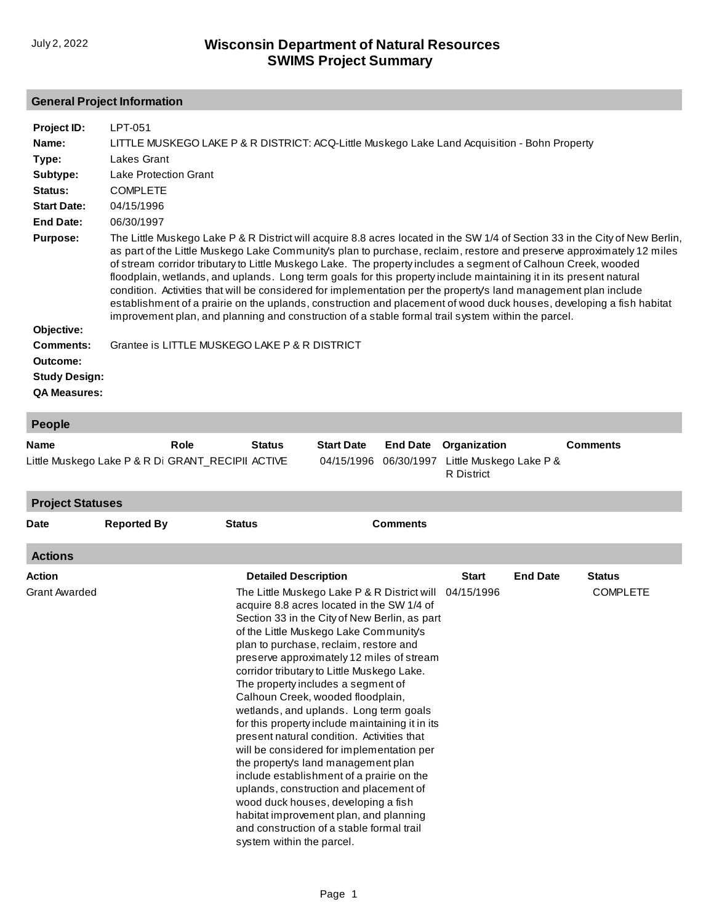# **General Project Information**

| Project ID:<br>Name:<br>Type:<br>Subtype:<br>Status:<br><b>Start Date:</b><br>End Date:<br><b>Purpose:</b> | LPT-051<br>LITTLE MUSKEGO LAKE P & R DISTRICT: ACQ-Little Muskego Lake Land Acquisition - Bohn Property<br>Lakes Grant<br>Lake Protection Grant<br><b>COMPLETE</b><br>04/15/1996<br>06/30/1997<br>The Little Muskego Lake P & R District will acquire 8.8 acres located in the SW 1/4 of Section 33 in the City of New Berlin,<br>as part of the Little Muskego Lake Community's plan to purchase, reclaim, restore and preserve approximately 12 miles<br>of stream corridor tributary to Little Muskego Lake. The property includes a segment of Calhoun Creek, wooded<br>floodplain, wetlands, and uplands. Long term goals for this property include maintaining it in its present natural<br>condition. Activities that will be considered for implementation per the property's land management plan include<br>establishment of a prairie on the uplands, construction and placement of wood duck houses, developing a fish habitat<br>improvement plan, and planning and construction of a stable formal trail system within the parcel. |
|------------------------------------------------------------------------------------------------------------|--------------------------------------------------------------------------------------------------------------------------------------------------------------------------------------------------------------------------------------------------------------------------------------------------------------------------------------------------------------------------------------------------------------------------------------------------------------------------------------------------------------------------------------------------------------------------------------------------------------------------------------------------------------------------------------------------------------------------------------------------------------------------------------------------------------------------------------------------------------------------------------------------------------------------------------------------------------------------------------------------------------------------------------------------|
| Objective:<br><b>Comments:</b><br>Outcome:<br><b>Study Design:</b><br><b>QA Measures:</b>                  | Grantee is LITTLE MUSKEGO LAKE P & R DISTRICT                                                                                                                                                                                                                                                                                                                                                                                                                                                                                                                                                                                                                                                                                                                                                                                                                                                                                                                                                                                                    |

| People                                                           |                    |      |                                                          |                                                                                                                                                                                                                                                                                                                                                                                                                                                                                                                                                                                                                                                                                                                                                                                                                                                          |                               |                                                              |                 |                                  |
|------------------------------------------------------------------|--------------------|------|----------------------------------------------------------|----------------------------------------------------------------------------------------------------------------------------------------------------------------------------------------------------------------------------------------------------------------------------------------------------------------------------------------------------------------------------------------------------------------------------------------------------------------------------------------------------------------------------------------------------------------------------------------------------------------------------------------------------------------------------------------------------------------------------------------------------------------------------------------------------------------------------------------------------------|-------------------------------|--------------------------------------------------------------|-----------------|----------------------------------|
| <b>Name</b><br>Little Muskego Lake P & R Di GRANT_RECIPII ACTIVE |                    | Role | <b>Status</b>                                            | <b>Start Date</b><br>04/15/1996                                                                                                                                                                                                                                                                                                                                                                                                                                                                                                                                                                                                                                                                                                                                                                                                                          | <b>End Date</b><br>06/30/1997 | Organization<br>Little Muskego Lake P &<br><b>R</b> District |                 | <b>Comments</b>                  |
| <b>Project Statuses</b>                                          |                    |      |                                                          |                                                                                                                                                                                                                                                                                                                                                                                                                                                                                                                                                                                                                                                                                                                                                                                                                                                          |                               |                                                              |                 |                                  |
| <b>Date</b>                                                      | <b>Reported By</b> |      | <b>Status</b>                                            |                                                                                                                                                                                                                                                                                                                                                                                                                                                                                                                                                                                                                                                                                                                                                                                                                                                          | <b>Comments</b>               |                                                              |                 |                                  |
| <b>Actions</b>                                                   |                    |      |                                                          |                                                                                                                                                                                                                                                                                                                                                                                                                                                                                                                                                                                                                                                                                                                                                                                                                                                          |                               |                                                              |                 |                                  |
| <b>Action</b><br><b>Grant Awarded</b>                            |                    |      | <b>Detailed Description</b><br>system within the parcel. | The Little Muskego Lake P & R District will<br>acquire 8.8 acres located in the SW 1/4 of<br>Section 33 in the City of New Berlin, as part<br>of the Little Muskego Lake Community's<br>plan to purchase, reclaim, restore and<br>preserve approximately 12 miles of stream<br>corridor tributary to Little Muskego Lake.<br>The property includes a segment of<br>Calhoun Creek, wooded floodplain,<br>wetlands, and uplands. Long term goals<br>for this property include maintaining it in its<br>present natural condition. Activities that<br>will be considered for implementation per<br>the property's land management plan<br>include establishment of a prairie on the<br>uplands, construction and placement of<br>wood duck houses, developing a fish<br>habitat improvement plan, and planning<br>and construction of a stable formal trail |                               | <b>Start</b><br>04/15/1996                                   | <b>End Date</b> | <b>Status</b><br><b>COMPLETE</b> |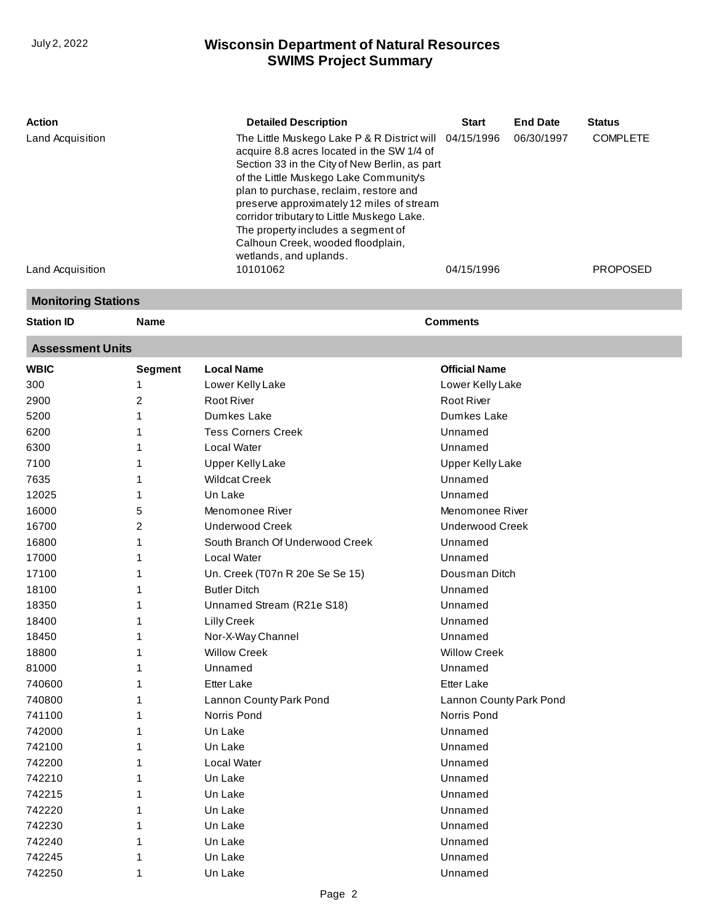| <b>Action</b>    | <b>Detailed Description</b>                                                                                                                                                                                                                                                                                                                                                                                                               | <b>Start</b> | <b>End Date</b> | <b>Status</b>   |
|------------------|-------------------------------------------------------------------------------------------------------------------------------------------------------------------------------------------------------------------------------------------------------------------------------------------------------------------------------------------------------------------------------------------------------------------------------------------|--------------|-----------------|-----------------|
| Land Acquisition | The Little Muskego Lake P & R District will 04/15/1996<br>acquire 8.8 acres located in the SW 1/4 of<br>Section 33 in the City of New Berlin, as part<br>of the Little Muskego Lake Community's<br>plan to purchase, reclaim, restore and<br>preserve approximately 12 miles of stream<br>corridor tributary to Little Muskego Lake.<br>The property includes a segment of<br>Calhoun Creek, wooded floodplain,<br>wetlands, and uplands. |              | 06/30/1997      | <b>COMPLETE</b> |
| Land Acquisition | 10101062                                                                                                                                                                                                                                                                                                                                                                                                                                  | 04/15/1996   |                 | <b>PROPOSED</b> |

#### **Monitoring Stations**

**Station ID Name Comments**

#### **Assessment Units**

| <b>WBIC</b> | <b>Segment</b> | <b>Local Name</b>               | <b>Official Name</b>    |
|-------------|----------------|---------------------------------|-------------------------|
| 300         | 1              | Lower Kelly Lake                | Lower Kelly Lake        |
| 2900        | 2              | <b>Root River</b>               | <b>Root River</b>       |
| 5200        | 1              | Dumkes Lake                     | Dumkes Lake             |
| 6200        | 1              | <b>Tess Corners Creek</b>       | Unnamed                 |
| 6300        | 1              | Local Water                     | Unnamed                 |
| 7100        | 1              | <b>Upper Kelly Lake</b>         | <b>Upper Kelly Lake</b> |
| 7635        | 1              | <b>Wildcat Creek</b>            | Unnamed                 |
| 12025       | 1              | Un Lake                         | Unnamed                 |
| 16000       | 5              | Menomonee River                 | Menomonee River         |
| 16700       | 2              | <b>Underwood Creek</b>          | <b>Underwood Creek</b>  |
| 16800       | 1              | South Branch Of Underwood Creek | Unnamed                 |
| 17000       | 1              | Local Water                     | Unnamed                 |
| 17100       | 1              | Un. Creek (T07n R 20e Se Se 15) | Dousman Ditch           |
| 18100       | 1              | <b>Butler Ditch</b>             | Unnamed                 |
| 18350       | 1              | Unnamed Stream (R21e S18)       | Unnamed                 |
| 18400       | 1              | Lilly Creek                     | Unnamed                 |
| 18450       | 1              | Nor-X-Way Channel               | Unnamed                 |
| 18800       | 1              | <b>Willow Creek</b>             | <b>Willow Creek</b>     |
| 81000       | 1              | Unnamed                         | Unnamed                 |
| 740600      | 1              | <b>Etter Lake</b>               | <b>Etter Lake</b>       |
| 740800      | 1              | Lannon County Park Pond         | Lannon County Park Pond |
| 741100      | 1              | Norris Pond                     | Norris Pond             |
| 742000      | 1              | Un Lake                         | Unnamed                 |
| 742100      | 1              | Un Lake                         | Unnamed                 |
| 742200      | 1              | Local Water                     | Unnamed                 |
| 742210      | 1              | Un Lake                         | Unnamed                 |
| 742215      | 1              | Un Lake                         | Unnamed                 |
| 742220      | 1              | Un Lake                         | Unnamed                 |
| 742230      | 1              | Un Lake                         | Unnamed                 |
| 742240      | 1              | Un Lake                         | Unnamed                 |
| 742245      | 1              | Un Lake                         | Unnamed                 |
| 742250      | 1              | Un Lake                         | Unnamed                 |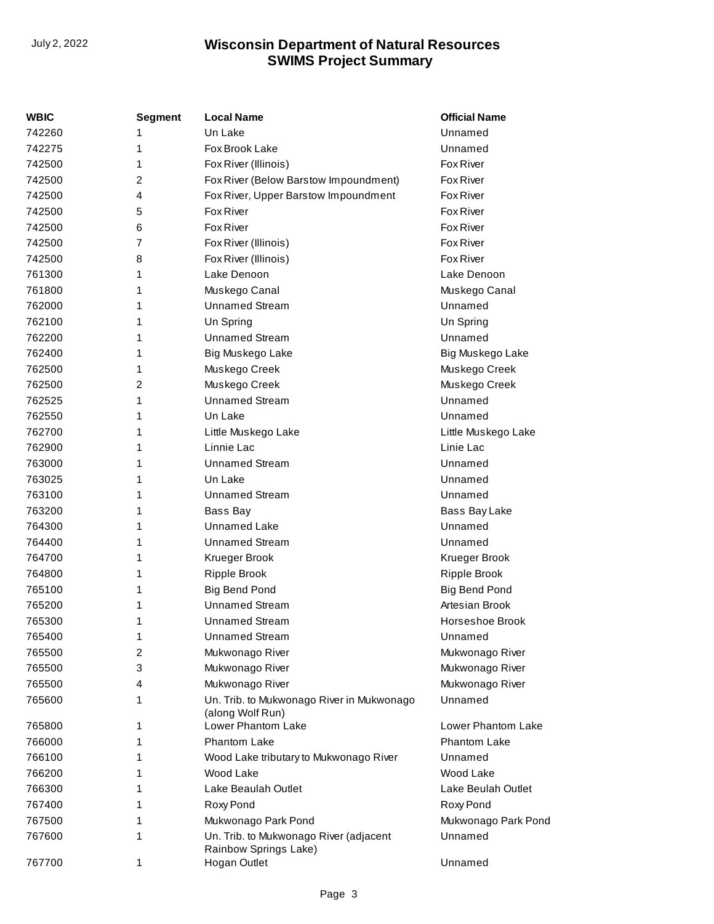| WBIC   | <b>Segment</b> | <b>Local Name</b>                                               | <b>Official Name</b> |
|--------|----------------|-----------------------------------------------------------------|----------------------|
| 742260 | 1              | Un Lake                                                         | Unnamed              |
| 742275 | 1              | Fox Brook Lake                                                  | Unnamed              |
| 742500 | 1              | Fox River (Illinois)                                            | <b>Fox River</b>     |
| 742500 | 2              | Fox River (Below Barstow Impoundment)                           | Fox River            |
| 742500 | 4              | Fox River, Upper Barstow Impoundment                            | Fox River            |
| 742500 | 5              | Fox River                                                       | <b>Fox River</b>     |
| 742500 | 6              | <b>Fox River</b>                                                | <b>Fox River</b>     |
| 742500 | 7              | Fox River (Illinois)                                            | <b>Fox River</b>     |
| 742500 | 8              | Fox River (Illinois)                                            | Fox River            |
| 761300 | 1              | Lake Denoon                                                     | Lake Denoon          |
| 761800 | 1              | Muskego Canal                                                   | Muskego Canal        |
| 762000 | 1              | <b>Unnamed Stream</b>                                           | Unnamed              |
| 762100 | 1              | Un Spring                                                       | Un Spring            |
| 762200 | 1              | <b>Unnamed Stream</b>                                           | Unnamed              |
| 762400 | 1              | Big Muskego Lake                                                | Big Muskego Lake     |
| 762500 | 1              | Muskego Creek                                                   | Muskego Creek        |
| 762500 | 2              | Muskego Creek                                                   | Muskego Creek        |
| 762525 | 1              | <b>Unnamed Stream</b>                                           | Unnamed              |
| 762550 | 1              | Un Lake                                                         | Unnamed              |
| 762700 | 1              | Little Muskego Lake                                             | Little Muskego Lake  |
| 762900 | 1              | Linnie Lac                                                      | Linie Lac            |
| 763000 | 1              | <b>Unnamed Stream</b>                                           | Unnamed              |
| 763025 | 1              | Un Lake                                                         | Unnamed              |
| 763100 | 1              | <b>Unnamed Stream</b>                                           | Unnamed              |
| 763200 | 1              | Bass Bay                                                        | Bass Bay Lake        |
| 764300 | 1              | Unnamed Lake                                                    | Unnamed              |
| 764400 | 1              | <b>Unnamed Stream</b>                                           | Unnamed              |
| 764700 | 1              | Krueger Brook                                                   | Krueger Brook        |
| 764800 | 1              | Ripple Brook                                                    | Ripple Brook         |
| 765100 | 1              | <b>Big Bend Pond</b>                                            | <b>Big Bend Pond</b> |
| 765200 | 1              | <b>Unnamed Stream</b>                                           | Artesian Brook       |
| 765300 | 1              | <b>Unnamed Stream</b>                                           | Horseshoe Brook      |
| 765400 | 1              | <b>Unnamed Stream</b>                                           | Unnamed              |
| 765500 | 2              | Mukwonago River                                                 | Mukwonago River      |
| 765500 | 3              | Mukwonago River                                                 | Mukwonago River      |
| 765500 | 4              | Mukwonago River                                                 | Mukwonago River      |
| 765600 | 1              | Un. Trib. to Mukwonago River in Mukwonago<br>(along Wolf Run)   | Unnamed              |
| 765800 | 1              | Lower Phantom Lake                                              | Lower Phantom Lake   |
| 766000 | 1              | Phantom Lake                                                    | Phantom Lake         |
| 766100 | 1              | Wood Lake tributary to Mukwonago River                          | Unnamed              |
| 766200 | 1              | Wood Lake                                                       | Wood Lake            |
| 766300 | 1              | Lake Beaulah Outlet                                             | Lake Beulah Outlet   |
| 767400 | 1              | Roxy Pond                                                       | Roxy Pond            |
| 767500 | 1              | Mukwonago Park Pond                                             | Mukwonago Park Pond  |
| 767600 | 1              | Un. Trib. to Mukwonago River (adjacent<br>Rainbow Springs Lake) | Unnamed              |
| 767700 | 1              | Hogan Outlet                                                    | Unnamed              |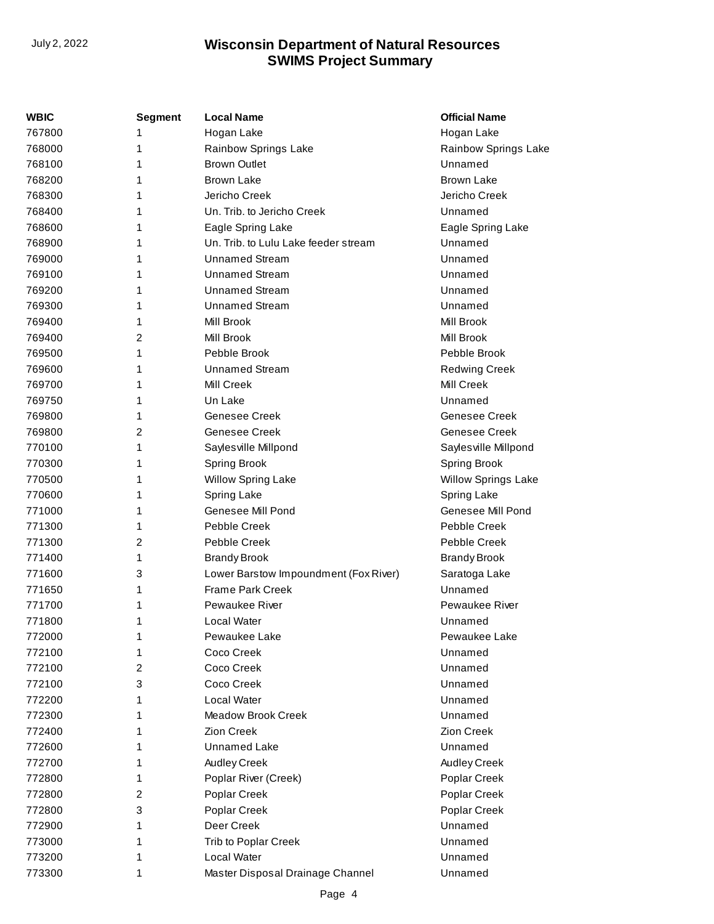| WBIC   | Segment        | <b>Local Name</b>                     | <b>Official Name</b>       |
|--------|----------------|---------------------------------------|----------------------------|
| 767800 | 1              | Hogan Lake                            | Hogan Lake                 |
| 768000 | 1              | Rainbow Springs Lake                  | Rainbow Springs Lake       |
| 768100 | 1              | <b>Brown Outlet</b>                   | Unnamed                    |
| 768200 | 1              | <b>Brown Lake</b>                     | <b>Brown Lake</b>          |
| 768300 | 1              | Jericho Creek                         | Jericho Creek              |
| 768400 | 1              | Un. Trib. to Jericho Creek            | Unnamed                    |
| 768600 | 1              | Eagle Spring Lake                     | Eagle Spring Lake          |
| 768900 | 1              | Un. Trib. to Lulu Lake feeder stream  | Unnamed                    |
| 769000 | 1              | <b>Unnamed Stream</b>                 | Unnamed                    |
| 769100 | 1              | <b>Unnamed Stream</b>                 | Unnamed                    |
| 769200 | 1              | <b>Unnamed Stream</b>                 | Unnamed                    |
| 769300 | 1              | <b>Unnamed Stream</b>                 | Unnamed                    |
| 769400 | 1              | Mill Brook                            | <b>Mill Brook</b>          |
| 769400 | $\overline{c}$ | Mill Brook                            | Mill Brook                 |
| 769500 | 1              | Pebble Brook                          | Pebble Brook               |
| 769600 | 1              | <b>Unnamed Stream</b>                 | <b>Redwing Creek</b>       |
| 769700 | 1              | Mill Creek                            | <b>Mill Creek</b>          |
| 769750 | 1              | Un Lake                               | Unnamed                    |
| 769800 | 1              | Genesee Creek                         | Genesee Creek              |
| 769800 | 2              | Genesee Creek                         | Genesee Creek              |
| 770100 | 1              | Sayles ville Millpond                 | Saylesville Millpond       |
| 770300 | 1              | Spring Brook                          | <b>Spring Brook</b>        |
| 770500 | 1              | Willow Spring Lake                    | <b>Willow Springs Lake</b> |
| 770600 | 1              | <b>Spring Lake</b>                    | Spring Lake                |
| 771000 | 1              | Genesee Mill Pond                     | Genesee Mill Pond          |
| 771300 | 1              | Pebble Creek                          | Pebble Creek               |
| 771300 | 2              | Pebble Creek                          | Pebble Creek               |
| 771400 | 1              | <b>Brandy Brook</b>                   | <b>Brandy Brook</b>        |
| 771600 | 3              | Lower Barstow Impoundment (Fox River) | Saratoga Lake              |
| 771650 | 1              | <b>Frame Park Creek</b>               | Unnamed                    |
| 771700 | 1              | <b>Pewaukee River</b>                 | Pewaukee River             |
| 771800 | 1              | Local Water                           | Unnamed                    |
| 772000 | 1              | Pewaukee Lake                         | Pewaukee Lake              |
| 772100 | 1              | Coco Creek                            | Unnamed                    |
| 772100 | 2              | Coco Creek                            | Unnamed                    |
| 772100 | 3              | Coco Creek                            | Unnamed                    |
| 772200 | 1              | Local Water                           | Unnamed                    |
| 772300 | 1              | Meadow Brook Creek                    | Unnamed                    |
| 772400 | 1              | Zion Creek                            | Zion Creek                 |
| 772600 | 1              | Unnamed Lake                          | Unnamed                    |
| 772700 | 1              | Audley Creek                          | Audley Creek               |
| 772800 | 1              | Poplar River (Creek)                  | Poplar Creek               |
| 772800 | 2              | Poplar Creek                          | Poplar Creek               |
| 772800 | 3              | Poplar Creek                          | Poplar Creek               |
| 772900 | 1              | Deer Creek                            | Unnamed                    |
| 773000 | 1              | Trib to Poplar Creek                  | Unnamed                    |
| 773200 | 1              | Local Water                           | Unnamed                    |
| 773300 | 1              | Master Disposal Drainage Channel      | Unnamed                    |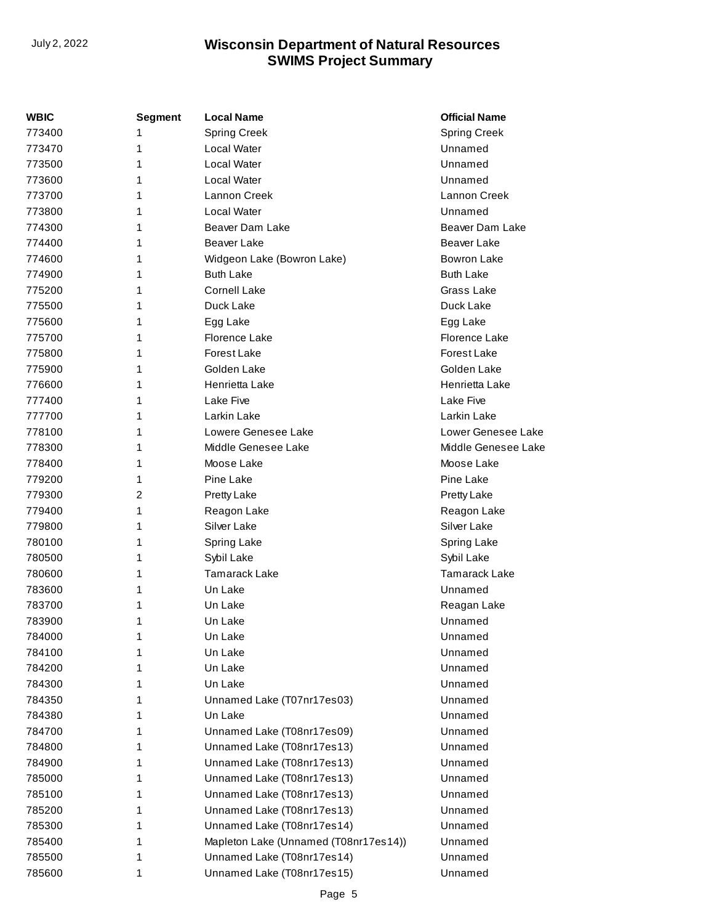| WBIC   | <b>Segment</b> | <b>Local Name</b>                     | <b>Official Name</b> |
|--------|----------------|---------------------------------------|----------------------|
| 773400 | 1              | <b>Spring Creek</b>                   | <b>Spring Creek</b>  |
| 773470 | 1              | Local Water                           | Unnamed              |
| 773500 | 1              | Local Water                           | Unnamed              |
| 773600 | 1              | Local Water                           | Unnamed              |
| 773700 | 1              | Lannon Creek                          | Lannon Creek         |
| 773800 | 1              | Local Water                           | Unnamed              |
| 774300 | 1              | Beaver Dam Lake                       | Beaver Dam Lake      |
| 774400 | 1              | Beaver Lake                           | Beaver Lake          |
| 774600 | 1              | Widgeon Lake (Bowron Lake)            | <b>Bowron Lake</b>   |
| 774900 | 1              | <b>Buth Lake</b>                      | <b>Buth Lake</b>     |
| 775200 | 1              | <b>Cornell Lake</b>                   | Grass Lake           |
| 775500 | 1              | Duck Lake                             | Duck Lake            |
| 775600 | 1              | Egg Lake                              | Egg Lake             |
| 775700 | 1              | Florence Lake                         | Florence Lake        |
| 775800 | 1              | Forest Lake                           | Forest Lake          |
| 775900 | 1              | Golden Lake                           | Golden Lake          |
| 776600 | 1              | Henrietta Lake                        | Henrietta Lake       |
| 777400 | 1              | Lake Five                             | Lake Five            |
| 777700 | 1              | Larkin Lake                           | Larkin Lake          |
| 778100 | 1              | Lowere Genesee Lake                   | Lower Genesee Lake   |
| 778300 | 1              | Middle Genesee Lake                   | Middle Genesee Lake  |
| 778400 | 1              | Moose Lake                            | Moose Lake           |
| 779200 | 1              | Pine Lake                             | Pine Lake            |
| 779300 | 2              | Pretty Lake                           | Pretty Lake          |
| 779400 | 1              | Reagon Lake                           | Reagon Lake          |
| 779800 | 1              | Silver Lake                           | Silver Lake          |
| 780100 | 1              | Spring Lake                           | Spring Lake          |
| 780500 | 1              | Sybil Lake                            | Sybil Lake           |
| 780600 | 1              | <b>Tamarack Lake</b>                  | <b>Tamarack Lake</b> |
| 783600 | 1              | Un Lake                               | Unnamed              |
| 783700 | 1              | Un Lake                               | Reagan Lake          |
| 783900 | 1              | Un Lake                               | Unnamed              |
| 784000 | 1              | Un Lake                               | Unnamed              |
| 784100 | 1              | Un Lake                               | Unnamed              |
| 784200 | 1              | Un Lake                               | Unnamed              |
| 784300 | 1              | Un Lake                               | Unnamed              |
| 784350 | 1              | Unnamed Lake (T07nr17es03)            | Unnamed              |
| 784380 | 1              | Un Lake                               | Unnamed              |
| 784700 | 1              | Unnamed Lake (T08nr17es09)            | Unnamed              |
| 784800 | 1              | Unnamed Lake (T08nr17es13)            | Unnamed              |
| 784900 | 1              | Unnamed Lake (T08nr17es13)            | Unnamed              |
| 785000 | 1              | Unnamed Lake (T08nr17es13)            | Unnamed              |
| 785100 | 1              | Unnamed Lake (T08nr17es13)            | Unnamed              |
| 785200 | 1              | Unnamed Lake (T08nr17es13)            | Unnamed              |
| 785300 | 1              | Unnamed Lake (T08nr17es14)            | Unnamed              |
| 785400 | 1              | Mapleton Lake (Unnamed (T08nr17es14)) | Unnamed              |
| 785500 | 1              | Unnamed Lake (T08nr17es14)            | Unnamed              |
| 785600 | 1              | Unnamed Lake (T08nr17es15)            | Unnamed              |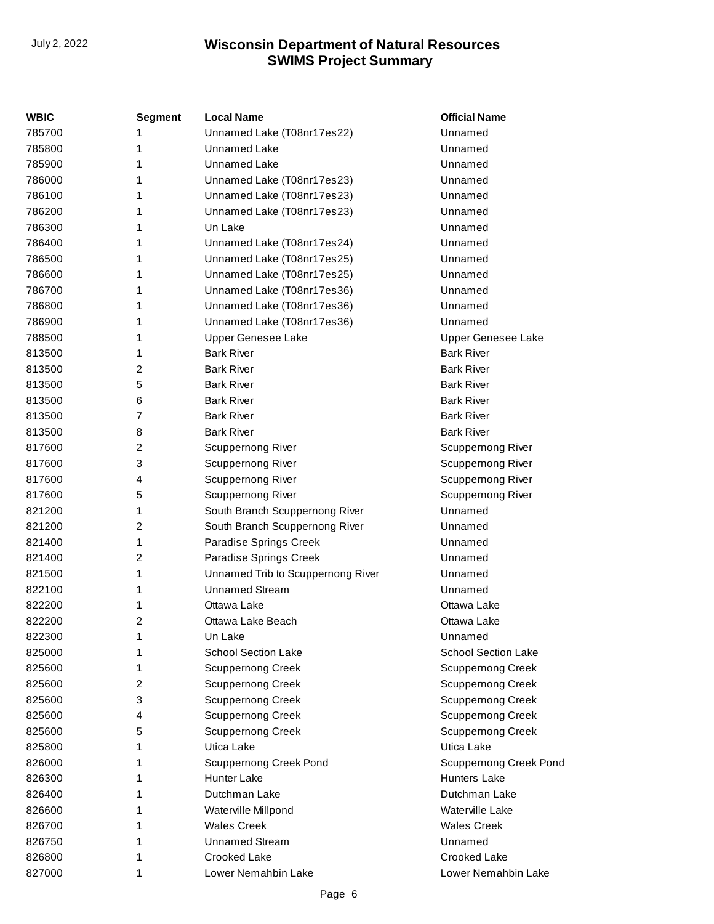| WBIC   | <b>Segment</b> | <b>Local Name</b>                 | <b>Official Name</b>          |
|--------|----------------|-----------------------------------|-------------------------------|
| 785700 | 1              | Unnamed Lake (T08nr17es22)        | Unnamed                       |
| 785800 | 1              | <b>Unnamed Lake</b>               | Unnamed                       |
| 785900 | 1              | <b>Unnamed Lake</b>               | Unnamed                       |
| 786000 | 1              | Unnamed Lake (T08nr17es23)        | Unnamed                       |
| 786100 | 1              | Unnamed Lake (T08nr17es23)        | Unnamed                       |
| 786200 | 1              | Unnamed Lake (T08nr17es23)        | Unnamed                       |
| 786300 | 1              | Un Lake                           | Unnamed                       |
| 786400 | 1              | Unnamed Lake (T08nr17es24)        | Unnamed                       |
| 786500 | 1              | Unnamed Lake (T08nr17es25)        | Unnamed                       |
| 786600 | 1              | Unnamed Lake (T08nr17es25)        | Unnamed                       |
| 786700 | 1              | Unnamed Lake (T08nr17es36)        | Unnamed                       |
| 786800 | 1              | Unnamed Lake (T08nr17es36)        | Unnamed                       |
| 786900 | 1              | Unnamed Lake (T08nr17es36)        | Unnamed                       |
| 788500 | 1              | <b>Upper Genesee Lake</b>         | Upper Genesee Lake            |
| 813500 | 1              | <b>Bark River</b>                 | <b>Bark River</b>             |
| 813500 | 2              | <b>Bark River</b>                 | <b>Bark River</b>             |
| 813500 | 5              | <b>Bark River</b>                 | <b>Bark River</b>             |
| 813500 | 6              | <b>Bark River</b>                 | <b>Bark River</b>             |
| 813500 | $\overline{7}$ | <b>Bark River</b>                 | <b>Bark River</b>             |
| 813500 | 8              | <b>Bark River</b>                 | <b>Bark River</b>             |
| 817600 | 2              | Scuppernong River                 | Scuppernong River             |
| 817600 | 3              | Scuppernong River                 | <b>Scuppernong River</b>      |
| 817600 | 4              | Scuppernong River                 | <b>Scuppernong River</b>      |
| 817600 | 5              | Scuppernong River                 | Scuppernong River             |
| 821200 | 1              | South Branch Scuppernong River    | Unnamed                       |
| 821200 | 2              | South Branch Scuppernong River    | Unnamed                       |
| 821400 | 1              | Paradise Springs Creek            | Unnamed                       |
| 821400 | 2              | Paradise Springs Creek            | Unnamed                       |
| 821500 | 1              | Unnamed Trib to Scuppernong River | Unnamed                       |
| 822100 | 1              | <b>Unnamed Stream</b>             | Unnamed                       |
| 822200 | 1              | Ottawa Lake                       | Ottawa Lake                   |
| 822200 | 2              | Ottawa Lake Beach                 | Ottawa Lake                   |
| 822300 | 1              | Un Lake                           | Unnamed                       |
| 825000 | 1              | School Section Lake               | School Section Lake           |
| 825600 | 1              | <b>Scuppernong Creek</b>          | <b>Scuppernong Creek</b>      |
| 825600 | 2              | <b>Scuppernong Creek</b>          | <b>Scuppernong Creek</b>      |
| 825600 | 3              | <b>Scuppernong Creek</b>          | <b>Scuppernong Creek</b>      |
| 825600 | 4              | <b>Scuppernong Creek</b>          | <b>Scuppernong Creek</b>      |
| 825600 | 5              | <b>Scuppernong Creek</b>          | <b>Scuppernong Creek</b>      |
| 825800 | 1              | Utica Lake                        | Utica Lake                    |
| 826000 | 1              | <b>Scuppernong Creek Pond</b>     | <b>Scuppernong Creek Pond</b> |
| 826300 | 1              | Hunter Lake                       | <b>Hunters Lake</b>           |
| 826400 | 1              | Dutchman Lake                     | Dutchman Lake                 |
| 826600 | 1              | Waterville Millpond               | Waterville Lake               |
| 826700 | 1              | <b>Wales Creek</b>                | <b>Wales Creek</b>            |
| 826750 | 1              | <b>Unnamed Stream</b>             | Unnamed                       |
| 826800 | 1              | Crooked Lake                      | <b>Crooked Lake</b>           |
| 827000 | 1              | Lower Nemahbin Lake               | Lower Nemahbin Lake           |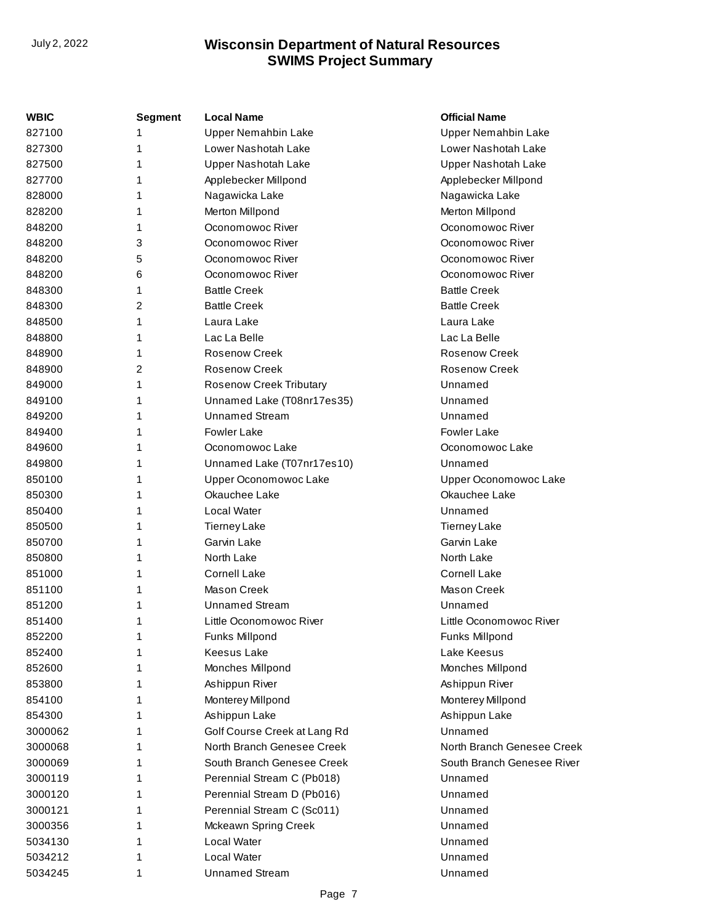| <b>WBIC</b> | Segment | <b>Local Name</b>              | <b>Official Name</b>       |
|-------------|---------|--------------------------------|----------------------------|
| 827100      | 1       | <b>Upper Nemahbin Lake</b>     | <b>Upper Nemahbin Lake</b> |
| 827300      | 1       | Lower Nashotah Lake            | Lower Nashotah Lake        |
| 827500      | 1       | Upper Nashotah Lake            | Upper Nashotah Lake        |
| 827700      | 1       | Applebecker Millpond           | Applebecker Millpond       |
| 828000      | 1       | Nagawicka Lake                 | Nagawicka Lake             |
| 828200      | 1       | Merton Millpond                | Merton Millpond            |
| 848200      | 1       | Oconomowoc River               | Oconomowoc River           |
| 848200      | 3       | Oconomowoc River               | Oconomowoc River           |
| 848200      | 5       | Oconomowoc River               | Oconomowoc River           |
| 848200      | 6       | Oconomowoc River               | Oconomowoc River           |
| 848300      | 1       | <b>Battle Creek</b>            | <b>Battle Creek</b>        |
| 848300      | 2       | <b>Battle Creek</b>            | <b>Battle Creek</b>        |
| 848500      | 1       | Laura Lake                     | Laura Lake                 |
| 848800      | 1       | Lac La Belle                   | Lac La Belle               |
| 848900      | 1       | Rosenow Creek                  | Rosenow Creek              |
| 848900      | 2       | <b>Rosenow Creek</b>           | Rosenow Creek              |
| 849000      | 1       | <b>Rosenow Creek Tributary</b> | Unnamed                    |
| 849100      | 1       | Unnamed Lake (T08nr17es35)     | Unnamed                    |
| 849200      | 1       | <b>Unnamed Stream</b>          | Unnamed                    |
| 849400      | 1       | <b>Fowler Lake</b>             | <b>Fowler Lake</b>         |
| 849600      | 1       | Oconomowoc Lake                | Oconomowoc Lake            |
| 849800      | 1       | Unnamed Lake (T07nr17es10)     | Unnamed                    |
| 850100      | 1       | Upper Oconomowoc Lake          | Upper Oconomowoc Lake      |
| 850300      | 1       | Okauchee Lake                  | Okauchee Lake              |
| 850400      | 1       | Local Water                    | Unnamed                    |
| 850500      | 1       | <b>Tierney Lake</b>            | <b>Tierney Lake</b>        |
| 850700      | 1       | Garvin Lake                    | Garvin Lake                |
| 850800      | 1       | North Lake                     | North Lake                 |
| 851000      | 1       | <b>Cornell Lake</b>            | <b>Cornell Lake</b>        |
| 851100      | 1       | <b>Mason Creek</b>             | Mason Creek                |
| 851200      | 1       | <b>Unnamed Stream</b>          | Unnamed                    |
| 851400      | 1       | Little Oconomowoc River        | Little Oconomowoc River    |
| 852200      | 1       | Funks Millpond                 | Funks Millpond             |
| 852400      | 1       | Keesus Lake                    | Lake Keesus                |
| 852600      | 1       | Monches Millpond               | Monches Millpond           |
| 853800      | 1       | Ashippun River                 | Ashippun River             |
| 854100      | 1       | Monterey Millpond              | Monterey Millpond          |
| 854300      | 1       | Ashippun Lake                  | Ashippun Lake              |
| 3000062     | 1       | Golf Course Creek at Lang Rd   | Unnamed                    |
| 3000068     | 1       | North Branch Genesee Creek     | North Branch Genesee Creek |
| 3000069     | 1       | South Branch Genesee Creek     | South Branch Genesee River |
| 3000119     | 1       | Perennial Stream C (Pb018)     | Unnamed                    |
| 3000120     | 1       | Perennial Stream D (Pb016)     | Unnamed                    |
| 3000121     | 1       | Perennial Stream C (Sc011)     | Unnamed                    |
| 3000356     | 1       | Mckeawn Spring Creek           | Unnamed                    |
| 5034130     | 1       | Local Water                    | Unnamed                    |
| 5034212     | 1       | Local Water                    | Unnamed                    |
| 5034245     | 1       | <b>Unnamed Stream</b>          | Unnamed                    |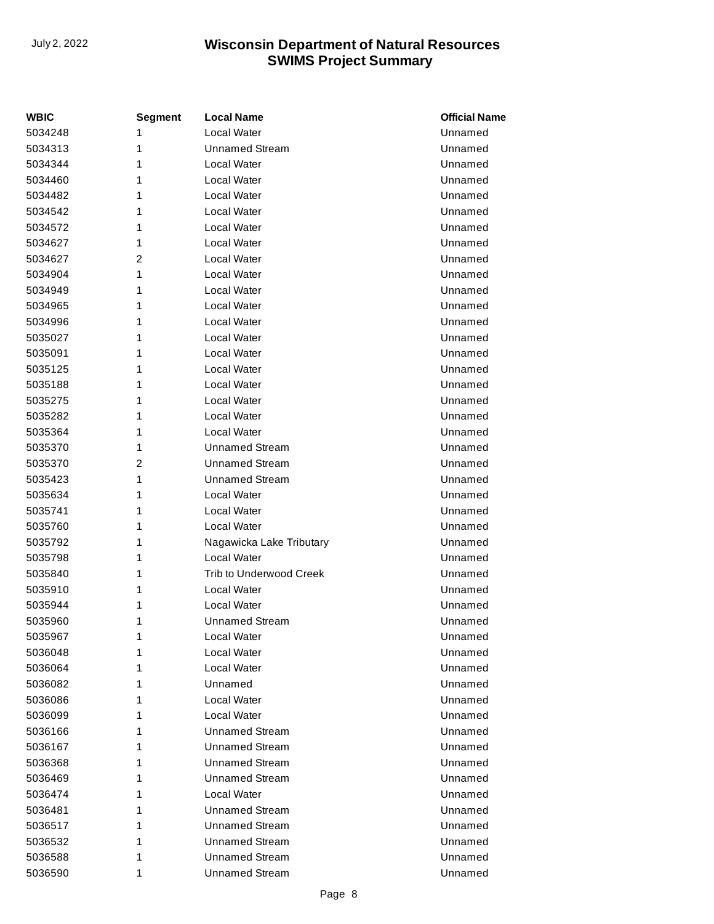| <b>WBIC</b> | <b>Segment</b> | <b>Local Name</b>        | <b>Official Name</b> |
|-------------|----------------|--------------------------|----------------------|
| 5034248     | 1              | <b>Local Water</b>       | Unnamed              |
| 5034313     | 1              | <b>Unnamed Stream</b>    | Unnamed              |
| 5034344     | 1              | Local Water              | Unnamed              |
| 5034460     | 1              | Local Water              | Unnamed              |
| 5034482     | 1              | Local Water              | Unnamed              |
| 5034542     | 1              | Local Water              | Unnamed              |
| 5034572     | 1              | Local Water              | Unnamed              |
| 5034627     | 1              | Local Water              | Unnamed              |
| 5034627     | 2              | Local Water              | Unnamed              |
| 5034904     | 1              | Local Water              | Unnamed              |
| 5034949     | 1              | Local Water              | Unnamed              |
| 5034965     | 1              | Local Water              | Unnamed              |
| 5034996     | 1              | Local Water              | Unnamed              |
| 5035027     | 1              | Local Water              | Unnamed              |
| 5035091     | 1              | Local Water              | Unnamed              |
| 5035125     | 1              | Local Water              | Unnamed              |
| 5035188     | 1              | Local Water              | Unnamed              |
| 5035275     | 1              | Local Water              | Unnamed              |
| 5035282     | 1              | Local Water              | Unnamed              |
| 5035364     | 1              | Local Water              | Unnamed              |
| 5035370     | 1              | <b>Unnamed Stream</b>    | Unnamed              |
| 5035370     | $\overline{2}$ | <b>Unnamed Stream</b>    | Unnamed              |
| 5035423     | 1              | <b>Unnamed Stream</b>    | Unnamed              |
| 5035634     | 1              | Local Water              | Unnamed              |
| 5035741     | 1              | Local Water              | Unnamed              |
| 5035760     | 1              | Local Water              | Unnamed              |
| 5035792     | 1              | Nagawicka Lake Tributary | Unnamed              |
| 5035798     | 1              | <b>Local Water</b>       | Unnamed              |
| 5035840     | 1              | Trib to Underwood Creek  | Unnamed              |
| 5035910     | 1              | Local Water              | Unnamed              |
| 5035944     | 1              | <b>Local Water</b>       | Unnamed              |
| 5035960     | 1              | <b>Unnamed Stream</b>    | Unnamed              |
| 5035967     | 1              | Local Water              | Unnamed              |
| 5036048     | 1              | Local Water              | Unnamed              |
| 5036064     | 1              | Local Water              | Unnamed              |
| 5036082     | 1              | Unnamed                  | Unnamed              |
| 5036086     | 1              | Local Water              | Unnamed              |
| 5036099     | 1              | Local Water              | Unnamed              |
| 5036166     | 1              | <b>Unnamed Stream</b>    | Unnamed              |
| 5036167     | 1              | <b>Unnamed Stream</b>    | Unnamed              |
| 5036368     | 1              | <b>Unnamed Stream</b>    | Unnamed              |
| 5036469     | 1              | <b>Unnamed Stream</b>    | Unnamed              |
| 5036474     | 1              | Local Water              | Unnamed              |
| 5036481     | 1              | <b>Unnamed Stream</b>    | Unnamed              |
| 5036517     | 1              | <b>Unnamed Stream</b>    | Unnamed              |
| 5036532     | 1              | <b>Unnamed Stream</b>    | Unnamed              |
| 5036588     | 1              | <b>Unnamed Stream</b>    | Unnamed              |
| 5036590     | 1              | <b>Unnamed Stream</b>    | Unnamed              |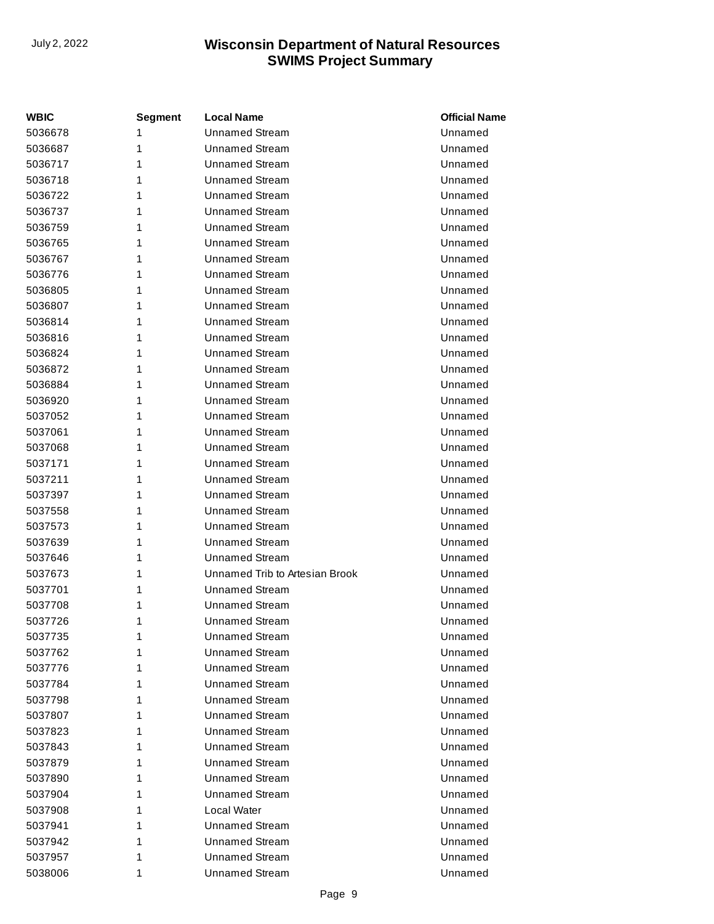| <b>WBIC</b> | <b>Segment</b> | <b>Local Name</b>              | <b>Official Name</b> |
|-------------|----------------|--------------------------------|----------------------|
| 5036678     | 1              | <b>Unnamed Stream</b>          | Unnamed              |
| 5036687     | 1              | <b>Unnamed Stream</b>          | Unnamed              |
| 5036717     | 1              | <b>Unnamed Stream</b>          | Unnamed              |
| 5036718     | 1              | <b>Unnamed Stream</b>          | Unnamed              |
| 5036722     | 1              | <b>Unnamed Stream</b>          | Unnamed              |
| 5036737     | 1              | <b>Unnamed Stream</b>          | Unnamed              |
| 5036759     | 1              | <b>Unnamed Stream</b>          | Unnamed              |
| 5036765     | 1              | Unnamed Stream                 | Unnamed              |
| 5036767     | 1              | <b>Unnamed Stream</b>          | Unnamed              |
| 5036776     | 1              | <b>Unnamed Stream</b>          | Unnamed              |
| 5036805     | 1              | <b>Unnamed Stream</b>          | Unnamed              |
| 5036807     | 1              | <b>Unnamed Stream</b>          | Unnamed              |
| 5036814     | 1              | <b>Unnamed Stream</b>          | Unnamed              |
| 5036816     | 1              | <b>Unnamed Stream</b>          | Unnamed              |
| 5036824     | 1              | <b>Unnamed Stream</b>          | Unnamed              |
| 5036872     | 1              | Unnamed Stream                 | Unnamed              |
| 5036884     | 1              | <b>Unnamed Stream</b>          | Unnamed              |
| 5036920     | 1              | <b>Unnamed Stream</b>          | Unnamed              |
| 5037052     | 1              | <b>Unnamed Stream</b>          | Unnamed              |
| 5037061     | 1              | <b>Unnamed Stream</b>          | Unnamed              |
| 5037068     | 1              | <b>Unnamed Stream</b>          | Unnamed              |
| 5037171     | 1              | <b>Unnamed Stream</b>          | Unnamed              |
| 5037211     | 1              | <b>Unnamed Stream</b>          | Unnamed              |
| 5037397     | 1              | Unnamed Stream                 | Unnamed              |
| 5037558     | 1              | <b>Unnamed Stream</b>          | Unnamed              |
| 5037573     | 1              | <b>Unnamed Stream</b>          | Unnamed              |
| 5037639     | 1              | <b>Unnamed Stream</b>          | Unnamed              |
| 5037646     | 1              | <b>Unnamed Stream</b>          | Unnamed              |
| 5037673     | 1              | Unnamed Trib to Artesian Brook | Unnamed              |
| 5037701     | 1              | <b>Unnamed Stream</b>          | Unnamed              |
| 5037708     | 1              | <b>Unnamed Stream</b>          | Unnamed              |
| 5037726     | 1              | <b>Unnamed Stream</b>          | Unnamed              |
| 5037735     | 1              | <b>Unnamed Stream</b>          | Unnamed              |
| 5037762     | 1              | Unnamed Stream                 | Unnamed              |
| 5037776     | 1              | Unnamed Stream                 | Unnamed              |
| 5037784     | 1              | Unnamed Stream                 | Unnamed              |
| 5037798     | 1              | <b>Unnamed Stream</b>          | Unnamed              |
| 5037807     | 1              | <b>Unnamed Stream</b>          | Unnamed              |
| 5037823     | 1              | <b>Unnamed Stream</b>          | Unnamed              |
| 5037843     | 1              | <b>Unnamed Stream</b>          | Unnamed              |
| 5037879     | 1              | <b>Unnamed Stream</b>          | Unnamed              |
| 5037890     | 1              | <b>Unnamed Stream</b>          | Unnamed              |
| 5037904     | 1              | <b>Unnamed Stream</b>          | Unnamed              |
| 5037908     | 1              | Local Water                    | Unnamed              |
| 5037941     | 1              | Unnamed Stream                 | Unnamed              |
| 5037942     | 1              | <b>Unnamed Stream</b>          | Unnamed              |
| 5037957     | 1              | <b>Unnamed Stream</b>          | Unnamed              |
| 5038006     | 1              | <b>Unnamed Stream</b>          | Unnamed              |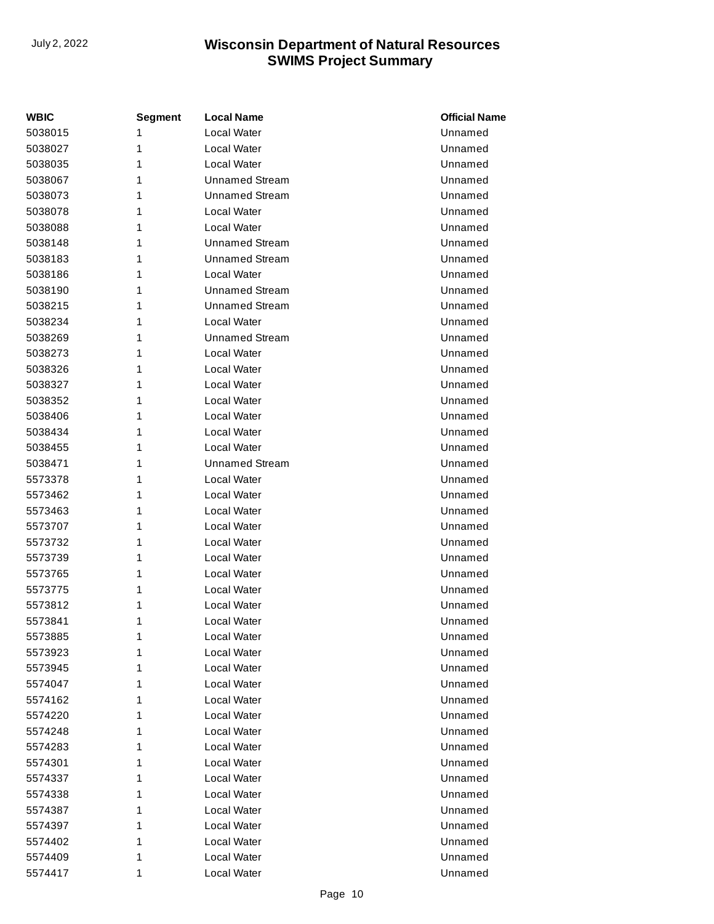| WBIC    | <b>Segment</b> | <b>Local Name</b>     | <b>Official Name</b> |
|---------|----------------|-----------------------|----------------------|
| 5038015 | 1              | Local Water           | Unnamed              |
| 5038027 | 1              | Local Water           | Unnamed              |
| 5038035 | 1              | Local Water           | Unnamed              |
| 5038067 | 1              | Unnamed Stream        | Unnamed              |
| 5038073 | 1              | <b>Unnamed Stream</b> | Unnamed              |
| 5038078 | 1              | Local Water           | Unnamed              |
| 5038088 | 1              | Local Water           | Unnamed              |
| 5038148 | 1              | <b>Unnamed Stream</b> | Unnamed              |
| 5038183 | 1              | <b>Unnamed Stream</b> | Unnamed              |
| 5038186 | 1              | Local Water           | Unnamed              |
| 5038190 | 1              | <b>Unnamed Stream</b> | Unnamed              |
| 5038215 | 1              | <b>Unnamed Stream</b> | Unnamed              |
| 5038234 | 1              | Local Water           | Unnamed              |
| 5038269 | 1              | <b>Unnamed Stream</b> | Unnamed              |
| 5038273 | 1              | Local Water           | Unnamed              |
| 5038326 | 1              | Local Water           | Unnamed              |
| 5038327 | 1              | Local Water           | Unnamed              |
| 5038352 | 1              | Local Water           | Unnamed              |
| 5038406 | 1              | Local Water           | Unnamed              |
| 5038434 | 1              | Local Water           | Unnamed              |
| 5038455 | 1              | Local Water           | Unnamed              |
| 5038471 | 1              | <b>Unnamed Stream</b> | Unnamed              |
| 5573378 | 1              | Local Water           | Unnamed              |
| 5573462 | 1              | Local Water           | Unnamed              |
| 5573463 | 1              | Local Water           | Unnamed              |
| 5573707 | 1              | Local Water           | Unnamed              |
| 5573732 | 1              | Local Water           | Unnamed              |
| 5573739 | 1              | Local Water           | Unnamed              |
| 5573765 | 1              | Local Water           | Unnamed              |
| 5573775 | 1              | Local Water           | Unnamed              |
| 5573812 | 1              | Local Water           | Unnamed              |
| 5573841 | 1              | Local Water           | Unnamed              |
| 5573885 | 1              | Local Water           | Unnamed              |
| 5573923 | 1              | Local Water           | Unnamed              |
| 5573945 | 1              | Local Water           | Unnamed              |
| 5574047 | 1              | Local Water           | Unnamed              |
| 5574162 | 1              | Local Water           | Unnamed              |
| 5574220 | 1              | Local Water           | Unnamed              |
| 5574248 | 1              | Local Water           | Unnamed              |
| 5574283 | 1              | Local Water           | Unnamed              |
| 5574301 | 1              | Local Water           | Unnamed              |
| 5574337 | 1              | Local Water           | Unnamed              |
| 5574338 | 1              | Local Water           | Unnamed              |
| 5574387 | 1              | Local Water           | Unnamed              |
| 5574397 | 1              | Local Water           | Unnamed              |
| 5574402 | 1              | Local Water           | Unnamed              |
| 5574409 | 1              | Local Water           | Unnamed              |
| 5574417 | 1              | Local Water           | Unnamed              |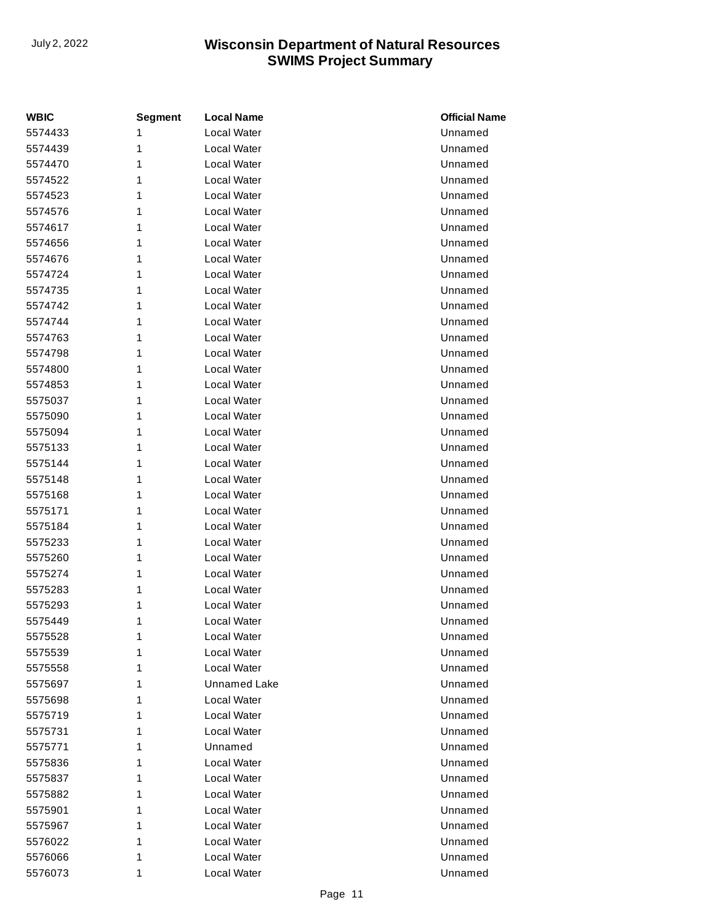| <b>WBIC</b> | <b>Segment</b> | <b>Local Name</b>  | <b>Official Name</b> |
|-------------|----------------|--------------------|----------------------|
| 5574433     | 1              | <b>Local Water</b> | Unnamed              |
| 5574439     | 1              | Local Water        | Unnamed              |
| 5574470     | 1              | Local Water        | Unnamed              |
| 5574522     | 1              | Local Water        | Unnamed              |
| 5574523     | 1              | Local Water        | Unnamed              |
| 5574576     | 1              | <b>Local Water</b> | Unnamed              |
| 5574617     | 1              | Local Water        | Unnamed              |
| 5574656     | 1              | Local Water        | Unnamed              |
| 5574676     | 1              | Local Water        | Unnamed              |
| 5574724     | 1              | Local Water        | Unnamed              |
| 5574735     | 1              | Local Water        | Unnamed              |
| 5574742     | 1              | Local Water        | Unnamed              |
| 5574744     | 1              | Local Water        | Unnamed              |
| 5574763     | 1              | <b>Local Water</b> | Unnamed              |
| 5574798     | 1              | Local Water        | Unnamed              |
| 5574800     | 1              | Local Water        | Unnamed              |
| 5574853     | 1              | Local Water        | Unnamed              |
| 5575037     | 1              | Local Water        | Unnamed              |
| 5575090     | 1              | Local Water        | Unnamed              |
| 5575094     | 1              | Local Water        | Unnamed              |
| 5575133     | 1              | Local Water        | Unnamed              |
| 5575144     | 1              | <b>Local Water</b> | Unnamed              |
| 5575148     | 1              | Local Water        | Unnamed              |
| 5575168     | 1              | Local Water        | Unnamed              |
| 5575171     | 1              | Local Water        | Unnamed              |
| 5575184     | 1              | Local Water        | Unnamed              |
| 5575233     | 1              | Local Water        | Unnamed              |
| 5575260     | 1              | Local Water        | Unnamed              |
| 5575274     | 1              | Local Water        | Unnamed              |
| 5575283     | 1              | Local Water        | Unnamed              |
| 5575293     | 1              | Local Water        | Unnamed              |
| 5575449     | 1              | Local Water        | Unnamed              |
| 5575528     | 1              | Local Water        | Unnamed              |
| 5575539     | 1              | Local Water        | Unnamed              |
| 5575558     | 1              | Local Water        | Unnamed              |
| 5575697     | 1              | Unnamed Lake       | Unnamed              |
| 5575698     | 1              | Local Water        | Unnamed              |
| 5575719     | 1              | Local Water        | Unnamed              |
| 5575731     | 1              | Local Water        | Unnamed              |
| 5575771     | 1              | Unnamed            | Unnamed              |
| 5575836     | 1              | Local Water        | Unnamed              |
| 5575837     | 1              | Local Water        | Unnamed              |
| 5575882     | 1              | Local Water        | Unnamed              |
| 5575901     | 1              | Local Water        | Unnamed              |
| 5575967     | 1              | Local Water        | Unnamed              |
| 5576022     | 1              | Local Water        | Unnamed              |
| 5576066     | 1              | Local Water        | Unnamed              |
| 5576073     | 1              | Local Water        | Unnamed              |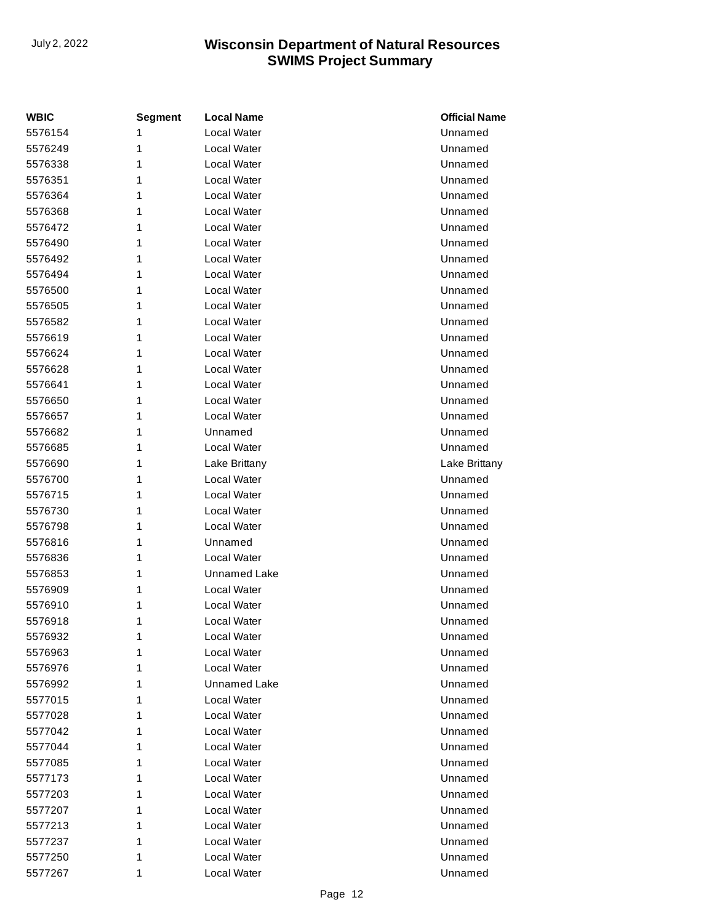| <b>WBIC</b> | <b>Segment</b> | <b>Local Name</b>   | <b>Official Name</b> |
|-------------|----------------|---------------------|----------------------|
| 5576154     | 1              | Local Water         | Unnamed              |
| 5576249     | 1              | Local Water         | Unnamed              |
| 5576338     | 1              | Local Water         | Unnamed              |
| 5576351     | 1              | Local Water         | Unnamed              |
| 5576364     | 1              | Local Water         | Unnamed              |
| 5576368     | 1              | Local Water         | Unnamed              |
| 5576472     | 1              | Local Water         | Unnamed              |
| 5576490     | 1              | Local Water         | Unnamed              |
| 5576492     | 1              | Local Water         | Unnamed              |
| 5576494     | 1              | Local Water         | Unnamed              |
| 5576500     | 1              | Local Water         | Unnamed              |
| 5576505     | 1              | Local Water         | Unnamed              |
| 5576582     | 1              | Local Water         | Unnamed              |
| 5576619     | 1              | Local Water         | Unnamed              |
| 5576624     | 1              | Local Water         | Unnamed              |
| 5576628     | 1              | Local Water         | Unnamed              |
| 5576641     | 1              | Local Water         | Unnamed              |
| 5576650     | 1              | Local Water         | Unnamed              |
| 5576657     | 1              | Local Water         | Unnamed              |
| 5576682     | 1              | Unnamed             | Unnamed              |
| 5576685     | 1              | Local Water         | Unnamed              |
| 5576690     | 1              | Lake Brittany       | Lake Brittany        |
| 5576700     | 1              | Local Water         | Unnamed              |
| 5576715     | 1              | Local Water         | Unnamed              |
| 5576730     | 1              | Local Water         | Unnamed              |
| 5576798     | 1              | Local Water         | Unnamed              |
| 5576816     | 1              | Unnamed             | Unnamed              |
| 5576836     | 1              | Local Water         | Unnamed              |
| 5576853     | 1              | <b>Unnamed Lake</b> | Unnamed              |
| 5576909     | 1              | Local Water         | Unnamed              |
| 5576910     | 1              | Local Water         | Unnamed              |
| 5576918     | 1              | Local Water         | Unnamed              |
| 5576932     | 1              | Local Water         | Unnamed              |
| 5576963     | 1              | Local Water         | Unnamed              |
| 5576976     | 1              | Local Water         | Unnamed              |
| 5576992     | 1              | Unnamed Lake        | Unnamed              |
| 5577015     | 1              | Local Water         | Unnamed              |
| 5577028     | 1              | Local Water         | Unnamed              |
| 5577042     | 1              | Local Water         | Unnamed              |
| 5577044     | 1              | Local Water         | Unnamed              |
| 5577085     | 1              | Local Water         | Unnamed              |
| 5577173     | 1              | Local Water         | Unnamed              |
| 5577203     | 1              | Local Water         | Unnamed              |
| 5577207     | 1              | Local Water         | Unnamed              |
| 5577213     | 1              | Local Water         | Unnamed              |
| 5577237     | 1              | Local Water         | Unnamed              |
| 5577250     | 1              | Local Water         | Unnamed              |
| 5577267     | 1              | Local Water         | Unnamed              |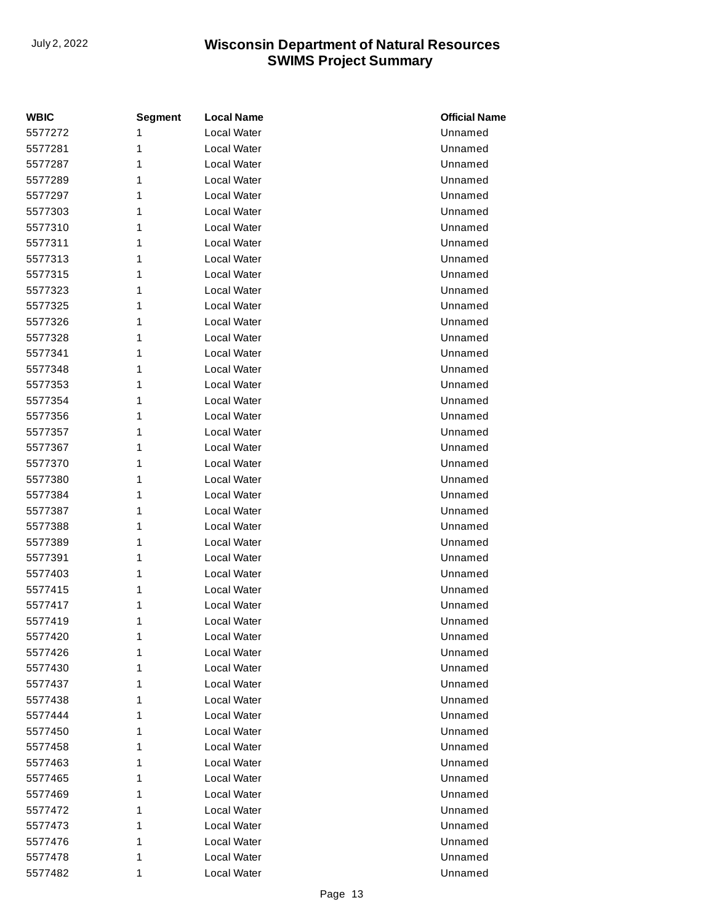| <b>WBIC</b> | <b>Segment</b> | <b>Local Name</b>  | <b>Official Name</b> |
|-------------|----------------|--------------------|----------------------|
| 5577272     | 1              | <b>Local Water</b> | Unnamed              |
| 5577281     | 1              | Local Water        | Unnamed              |
| 5577287     | 1              | Local Water        | Unnamed              |
| 5577289     | 1              | Local Water        | Unnamed              |
| 5577297     | 1              | Local Water        | Unnamed              |
| 5577303     | 1              | <b>Local Water</b> | Unnamed              |
| 5577310     | 1              | Local Water        | Unnamed              |
| 5577311     | 1              | Local Water        | Unnamed              |
| 5577313     | 1              | Local Water        | Unnamed              |
| 5577315     | 1              | Local Water        | Unnamed              |
| 5577323     | 1              | Local Water        | Unnamed              |
| 5577325     | 1              | Local Water        | Unnamed              |
| 5577326     | 1              | Local Water        | Unnamed              |
| 5577328     | 1              | <b>Local Water</b> | Unnamed              |
| 5577341     | 1              | Local Water        | Unnamed              |
| 5577348     | 1              | Local Water        | Unnamed              |
| 5577353     | 1              | Local Water        | Unnamed              |
| 5577354     | 1              | Local Water        | Unnamed              |
| 5577356     | 1              | Local Water        | Unnamed              |
| 5577357     | 1              | Local Water        | Unnamed              |
| 5577367     | 1              | Local Water        | Unnamed              |
| 5577370     | 1              | <b>Local Water</b> | Unnamed              |
| 5577380     | 1              | Local Water        | Unnamed              |
| 5577384     | 1              | Local Water        | Unnamed              |
| 5577387     | 1              | Local Water        | Unnamed              |
| 5577388     | 1              | Local Water        | Unnamed              |
| 5577389     | 1              | Local Water        | Unnamed              |
| 5577391     | 1              | Local Water        | Unnamed              |
| 5577403     | 1              | Local Water        | Unnamed              |
| 5577415     | 1              | Local Water        | Unnamed              |
| 5577417     | 1              | Local Water        | Unnamed              |
| 5577419     | 1              | Local Water        | Unnamed              |
| 5577420     | 1              | Local Water        | Unnamed              |
| 5577426     | 1              | Local Water        | Unnamed              |
| 5577430     | 1              | Local Water        | Unnamed              |
| 5577437     | 1              | Local Water        | Unnamed              |
| 5577438     | 1              | Local Water        | Unnamed              |
| 5577444     | 1              | Local Water        | Unnamed              |
| 5577450     | 1              | Local Water        | Unnamed              |
| 5577458     | 1              | Local Water        | Unnamed              |
| 5577463     | 1              | Local Water        | Unnamed              |
| 5577465     | 1              | Local Water        | Unnamed              |
| 5577469     | 1              | Local Water        | Unnamed              |
| 5577472     | 1              | Local Water        | Unnamed              |
| 5577473     | 1              | Local Water        | Unnamed              |
| 5577476     | 1              | Local Water        | Unnamed              |
| 5577478     | 1              | Local Water        | Unnamed              |
| 5577482     | 1              | Local Water        | Unnamed              |